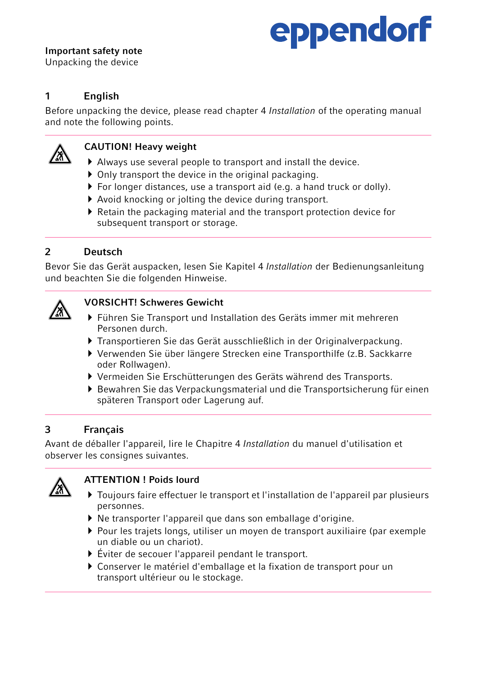# eppendorf

# Important safety note

Unpacking the device

# 1 English

Before unpacking the device, please read chapter 4 Installation of the operating manual and note the following points.



## CAUTION! Heavy weight

- Always use several people to transport and install the device.
- Only transport the device in the original packaging.
- ▶ For longer distances, use a transport aid (e.g. a hand truck or dolly).
- Avoid knocking or jolting the device during transport.
- Retain the packaging material and the transport protection device for subsequent transport or storage.

## 2 Deutsch

Bevor Sie das Gerät auspacken, lesen Sie Kapitel 4 Installation der Bedienungsanleitung und beachten Sie die folgenden Hinweise.



#### VORSICHT! Schweres Gewicht

- Führen Sie Transport und Installation des Geräts immer mit mehreren Personen durch.
- Transportieren Sie das Gerät ausschließlich in der Originalverpackung.
- Verwenden Sie über längere Strecken eine Transporthilfe (z.B. Sackkarre oder Rollwagen).
- Vermeiden Sie Erschütterungen des Geräts während des Transports.
- Bewahren Sie das Verpackungsmaterial und die Transportsicherung für einen späteren Transport oder Lagerung auf.

# 3 Français

Avant de déballer l'appareil, lire le Chapitre 4 Installation du manuel d'utilisation et observer les consignes suivantes.



# ATTENTION ! Poids lourd

- Toujours faire effectuer le transport et l'installation de l'appareil par plusieurs personnes.
- Ne transporter l'appareil que dans son emballage d'origine.
- Pour les trajets longs, utiliser un moyen de transport auxiliaire (par exemple un diable ou un chariot).
- Éviter de secouer l'appareil pendant le transport.
- Conserver le matériel d'emballage et la fixation de transport pour un transport ultérieur ou le stockage.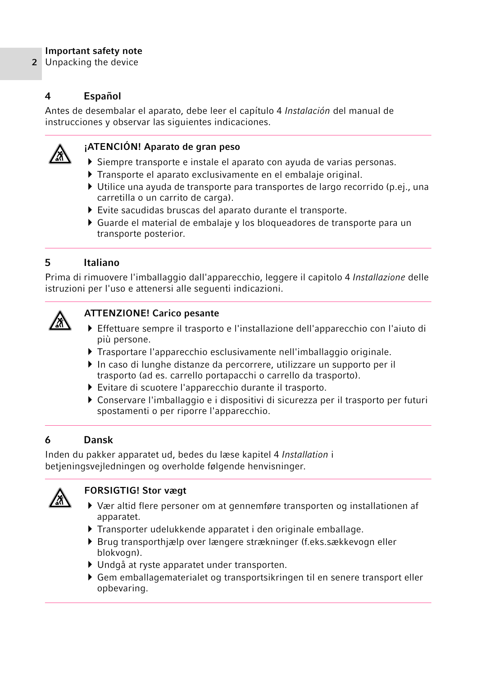#### Important safety note

2 Unpacking the device

### 4 Español

Antes de desembalar el aparato, debe leer el capítulo 4 Instalación del manual de instrucciones y observar las siguientes indicaciones.



#### ¡ATENCIÓN! Aparato de gran peso

- Siempre transporte e instale el aparato con ayuda de varias personas.
- Transporte el aparato exclusivamente en el embalaje original.
- $\triangleright$  Utilice una ayuda de transporte para transportes de largo recorrido (p.ej., una carretilla o un carrito de carga).
- Evite sacudidas bruscas del aparato durante el transporte.
- Guarde el material de embalaje y los bloqueadores de transporte para un transporte posterior.

#### 5 Italiano

Prima di rimuovere l'imballaggio dall'apparecchio, leggere il capitolo 4 Installazione delle istruzioni per l'uso e attenersi alle seguenti indicazioni.



#### ATTENZIONE! Carico pesante

- Effettuare sempre il trasporto e l'installazione dell'apparecchio con l'aiuto di più persone.
- Trasportare l'apparecchio esclusivamente nell'imballaggio originale.
- In caso di lunghe distanze da percorrere, utilizzare un supporto per il trasporto (ad es. carrello portapacchi o carrello da trasporto).
- Evitare di scuotere l'apparecchio durante il trasporto.
- Conservare l'imballaggio e i dispositivi di sicurezza per il trasporto per futuri spostamenti o per riporre l'apparecchio.

#### 6 Dansk

Inden du pakker apparatet ud, bedes du læse kapitel 4 Installation i betjeningsvejledningen og overholde følgende henvisninger.



#### FORSIGTIG! Stor vægt

- Vær altid flere personer om at gennemføre transporten og installationen af apparatet.
- Transporter udelukkende apparatet i den originale emballage.
- Brug transporthjælp over længere strækninger (f.eks.sækkevogn eller blokvogn).
- Undgå at ryste apparatet under transporten.
- Gem emballagematerialet og transportsikringen til en senere transport eller opbevaring.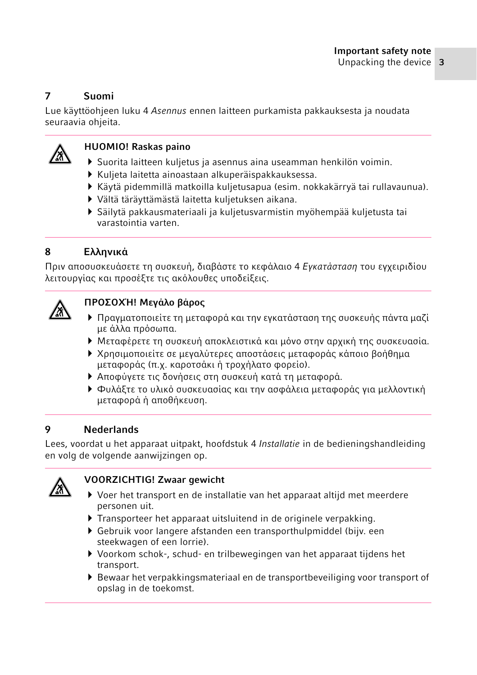# 7 Suomi

Lue käyttöohjeen luku 4 Asennus ennen laitteen purkamista pakkauksesta ja noudata seuraavia ohjeita.



# HUOMIO! Raskas paino

- Suorita laitteen kuljetus ja asennus aina useamman henkilön voimin.
- Kuljeta laitetta ainoastaan alkuperäispakkauksessa.
- Käytä pidemmillä matkoilla kuljetusapua (esim. nokkakärryä tai rullavaunua).
- Vältä täräyttämästä laitetta kuljetuksen aikana.
- Säilytä pakkausmateriaali ja kuljetusvarmistin myöhempää kuljetusta tai varastointia varten.

# 8 Ελληνικά

Πριν αποσυσκευάσετε τη συσκευή, διαβάστε το κεφάλαιο 4 Εγκατάσταση του εγχειριδίου λειτουργίας και προσέξτε τις ακόλουθες υποδείξεις.



## ΠΡΟΣΟΧΉ! Μεγάλο βάρος

- Πραγματοποιείτε τη μεταφορά και την εγκατάσταση της συσκευής πάντα μαζί με άλλα πρόσωπα.
- Μεταφέρετε τη συσκευή αποκλειστικά και μόνο στην αρχική της συσκευασία.
- Χρησιμοποιείτε σε μεγαλύτερες αποστάσεις μεταφοράς κάποιο βοήθημα μεταφοράς (π.χ. καροτσάκι ή τροχήλατο φορείο).
- Αποφύγετε τις δονήσεις στη συσκευή κατά τη μεταφορά.
- Φυλάξτε το υλικό συσκευασίας και την ασφάλεια μεταφοράς για μελλοντική μεταφορά ή αποθήκευση.

# 9 Nederlands

Lees, voordat u het apparaat uitpakt, hoofdstuk 4 Installatie in de bedieningshandleiding en volg de volgende aanwijzingen op.



## VOORZICHTIG! Zwaar gewicht

- Voer het transport en de installatie van het apparaat altijd met meerdere personen uit.
- Transporteer het apparaat uitsluitend in de originele verpakking.
- Gebruik voor langere afstanden een transporthulpmiddel (bijv. een steekwagen of een lorrie).
- Voorkom schok-, schud- en trilbewegingen van het apparaat tijdens het transport.
- Bewaar het verpakkingsmateriaal en de transportbeveiliging voor transport of opslag in de toekomst.